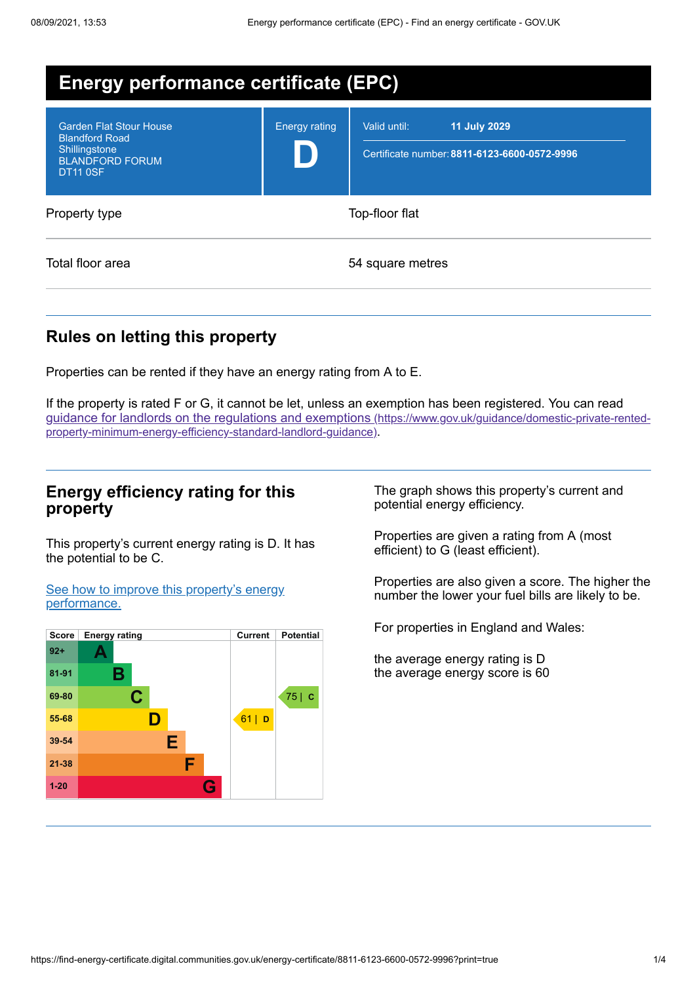| <b>Energy performance certificate (EPC)</b>                                                                           |                      |                                                                                     |  |  |  |
|-----------------------------------------------------------------------------------------------------------------------|----------------------|-------------------------------------------------------------------------------------|--|--|--|
| <b>Garden Flat Stour House</b><br><b>Blandford Road</b><br>Shillingstone<br><b>BLANDFORD FORUM</b><br><b>DT11 0SF</b> | <b>Energy rating</b> | <b>11 July 2029</b><br>Valid until:<br>Certificate number: 8811-6123-6600-0572-9996 |  |  |  |
| Property type                                                                                                         | Top-floor flat       |                                                                                     |  |  |  |
| Total floor area                                                                                                      |                      | 54 square metres                                                                    |  |  |  |

# **Rules on letting this property**

Properties can be rented if they have an energy rating from A to E.

If the property is rated F or G, it cannot be let, unless an exemption has been registered. You can read guidance for landlords on the regulations and exemptions (https://www.gov.uk/guidance/domestic-private-rented[property-minimum-energy-efficiency-standard-landlord-guidance\)](https://www.gov.uk/guidance/domestic-private-rented-property-minimum-energy-efficiency-standard-landlord-guidance).

### **Energy efficiency rating for this property**

This property's current energy rating is D. It has the potential to be C.

See how to improve this property's energy [performance.](#page-2-0)



The graph shows this property's current and potential energy efficiency.

Properties are given a rating from A (most efficient) to G (least efficient).

Properties are also given a score. The higher the number the lower your fuel bills are likely to be.

For properties in England and Wales:

the average energy rating is D the average energy score is 60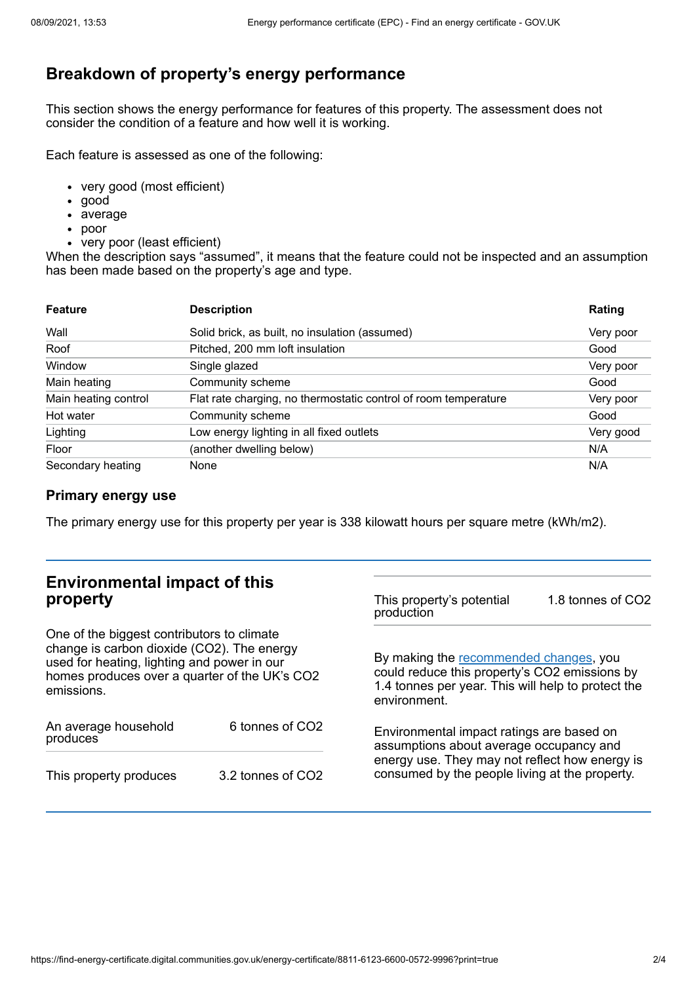# **Breakdown of property's energy performance**

This section shows the energy performance for features of this property. The assessment does not consider the condition of a feature and how well it is working.

Each feature is assessed as one of the following:

- very good (most efficient)
- good
- average
- poor
- very poor (least efficient)

When the description says "assumed", it means that the feature could not be inspected and an assumption has been made based on the property's age and type.

| <b>Feature</b>       | <b>Description</b>                                              | Rating    |
|----------------------|-----------------------------------------------------------------|-----------|
| Wall                 | Solid brick, as built, no insulation (assumed)                  | Very poor |
| Roof                 | Pitched, 200 mm loft insulation                                 | Good      |
| Window               | Single glazed                                                   | Very poor |
| Main heating         | Community scheme                                                | Good      |
| Main heating control | Flat rate charging, no thermostatic control of room temperature | Very poor |
| Hot water            | Community scheme                                                | Good      |
| Lighting             | Low energy lighting in all fixed outlets                        | Very good |
| Floor                | (another dwelling below)                                        | N/A       |
| Secondary heating    | None                                                            | N/A       |

### **Primary energy use**

The primary energy use for this property per year is 338 kilowatt hours per square metre (kWh/m2).

| <b>Environmental impact of this</b><br>property                                                                                                                                                        |                   | This property's potential<br>production                                                                                                                                                  | 1.8 tonnes of CO2 |
|--------------------------------------------------------------------------------------------------------------------------------------------------------------------------------------------------------|-------------------|------------------------------------------------------------------------------------------------------------------------------------------------------------------------------------------|-------------------|
| One of the biggest contributors to climate<br>change is carbon dioxide (CO2). The energy<br>used for heating, lighting and power in our<br>homes produces over a quarter of the UK's CO2<br>emissions. |                   | By making the recommended changes, you<br>could reduce this property's CO2 emissions by<br>1.4 tonnes per year. This will help to protect the<br>environment.                            |                   |
| An average household<br>produces                                                                                                                                                                       | 6 tonnes of CO2   | Environmental impact ratings are based on<br>assumptions about average occupancy and<br>energy use. They may not reflect how energy is<br>consumed by the people living at the property. |                   |
| This property produces                                                                                                                                                                                 | 3.2 tonnes of CO2 |                                                                                                                                                                                          |                   |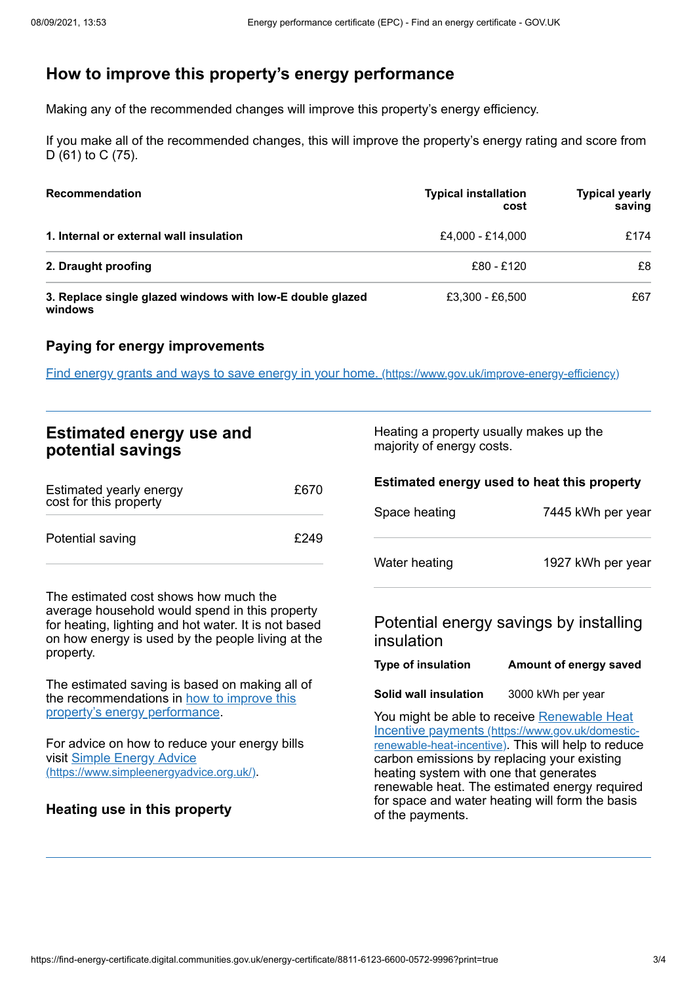# <span id="page-2-0"></span>**How to improve this property's energy performance**

Making any of the recommended changes will improve this property's energy efficiency.

If you make all of the recommended changes, this will improve the property's energy rating and score from D (61) to C (75).

| <b>Recommendation</b>                                                | <b>Typical installation</b><br>cost | <b>Typical yearly</b><br>saving |
|----------------------------------------------------------------------|-------------------------------------|---------------------------------|
| 1. Internal or external wall insulation                              | £4.000 - £14.000                    | £174                            |
| 2. Draught proofing                                                  | £80 - £120                          | £8                              |
| 3. Replace single glazed windows with low-E double glazed<br>windows | £3.300 - £6.500                     | £67                             |

### **Paying for energy improvements**

Find energy grants and ways to save energy in your home. [\(https://www.gov.uk/improve-energy-efficiency\)](https://www.gov.uk/improve-energy-efficiency)

| <b>Estimated energy use and</b><br>potential savings                                                                                                                                                 |      |                                                                                   | Heating a property usually makes up the<br>majority of energy costs.                                                                                                                                                                                                                                                                                |  |
|------------------------------------------------------------------------------------------------------------------------------------------------------------------------------------------------------|------|-----------------------------------------------------------------------------------|-----------------------------------------------------------------------------------------------------------------------------------------------------------------------------------------------------------------------------------------------------------------------------------------------------------------------------------------------------|--|
| Estimated yearly energy<br>cost for this property                                                                                                                                                    | £670 | Estimated energy used to heat this property<br>Space heating<br>7445 kWh per year |                                                                                                                                                                                                                                                                                                                                                     |  |
| Potential saving                                                                                                                                                                                     | £249 | Water heating                                                                     | 1927 kWh per year                                                                                                                                                                                                                                                                                                                                   |  |
| The estimated cost shows how much the<br>average household would spend in this property<br>for heating, lighting and hot water. It is not based<br>on how energy is used by the people living at the |      | insulation                                                                        | Potential energy savings by installing                                                                                                                                                                                                                                                                                                              |  |
| property.                                                                                                                                                                                            |      | <b>Type of insulation</b>                                                         | Amount of energy saved                                                                                                                                                                                                                                                                                                                              |  |
| The estimated saving is based on making all of<br>the recommendations in how to improve this                                                                                                         |      | Solid wall insulation                                                             | 3000 kWh per year                                                                                                                                                                                                                                                                                                                                   |  |
| property's energy performance.<br>For advice on how to reduce your energy bills<br>visit Simple Energy Advice<br>(https://www.simpleenergyadvice.org.uk/).<br>Heating use in this property           |      | of the payments.                                                                  | You might be able to receive Renewable Heat<br>Incentive payments (https://www.gov.uk/domestic-<br>renewable-heat-incentive). This will help to reduce<br>carbon emissions by replacing your existing<br>heating system with one that generates<br>renewable heat. The estimated energy required<br>for space and water heating will form the basis |  |